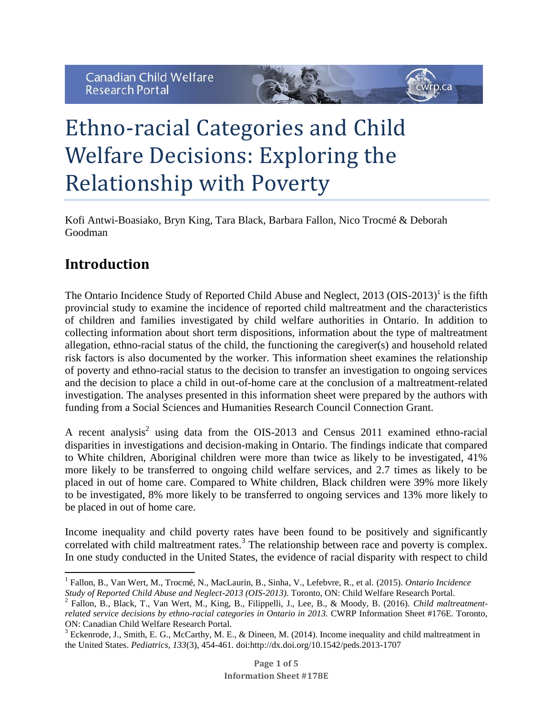

Kofi Antwi-Boasiako, Bryn King, Tara Black, Barbara Fallon, Nico Trocmé & Deborah Goodman

 $r_{\text{D}.\text{Ca}}$ 

## **Introduction**

The Ontario Incidence Study of Reported Child Abuse and Neglect,  $2013$  (OIS- $2013$ )<sup>1</sup> is the fifth provincial study to examine the incidence of reported child maltreatment and the characteristics of children and families investigated by child welfare authorities in Ontario. In addition to collecting information about short term dispositions, information about the type of maltreatment allegation, ethno-racial status of the child, the functioning the caregiver(s) and household related risk factors is also documented by the worker. This information sheet examines the relationship of poverty and ethno-racial status to the decision to transfer an investigation to ongoing services and the decision to place a child in out-of-home care at the conclusion of a maltreatment-related investigation. The analyses presented in this information sheet were prepared by the authors with funding from a Social Sciences and Humanities Research Council Connection Grant.

A recent analysis<sup>2</sup> using data from the OIS-2013 and Census 2011 examined ethno-racial disparities in investigations and decision-making in Ontario. The findings indicate that compared to White children, Aboriginal children were more than twice as likely to be investigated, 41% more likely to be transferred to ongoing child welfare services, and 2.7 times as likely to be placed in out of home care. Compared to White children, Black children were 39% more likely to be investigated, 8% more likely to be transferred to ongoing services and 13% more likely to be placed in out of home care.

Income inequality and child poverty rates have been found to be positively and significantly correlated with child maltreatment rates. 3 The relationship between race and poverty is complex. In one study conducted in the United States, the evidence of racial disparity with respect to child

 $\overline{\phantom{a}}$ 1 Fallon, B., Van Wert, M., Trocmé, N., MacLaurin, B., Sinha, V., Lefebvre, R., et al. (2015). *Ontario Incidence Study of Reported Child Abuse and Neglect-2013 (OIS-2013)*. Toronto, ON: Child Welfare Research Portal.

<sup>2</sup> Fallon, B., Black, T., Van Wert, M., King, B., Filippelli, J., Lee, B., & Moody, B. (2016). *Child maltreatmentrelated service decisions by ethno-racial categories in Ontario in 2013.* CWRP Information Sheet #176E. Toronto, ON: Canadian Child Welfare Research Portal.

<sup>&</sup>lt;sup>3</sup> Eckenrode, J., Smith, E. G., McCarthy, M. E., & Dineen, M. (2014). Income inequality and child maltreatment in the United States. *Pediatrics, 133*(3), 454-461. doi:http://dx.doi.org/10.1542/peds.2013-1707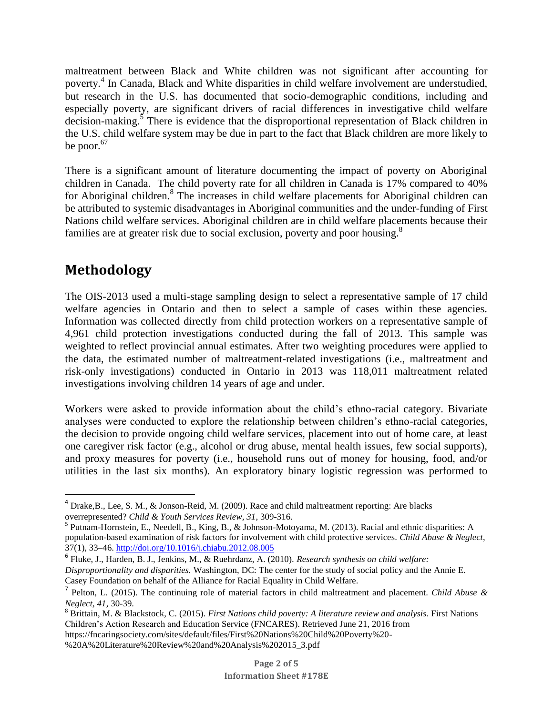maltreatment between Black and White children was not significant after accounting for poverty.<sup>4</sup> In Canada, Black and White disparities in child welfare involvement are understudied, but research in the U.S. has documented that socio-demographic conditions, including and especially poverty, are significant drivers of racial differences in investigative child welfare decision-making.<sup>5</sup> There is evidence that the disproportional representation of Black children in the U.S. child welfare system may be due in part to the fact that Black children are more likely to be poor.<sup>67</sup>

There is a significant amount of literature documenting the impact of poverty on Aboriginal children in Canada. The child poverty rate for all children in Canada is 17% compared to 40% for Aboriginal children.<sup>8</sup> The increases in child welfare placements for Aboriginal children can be attributed to systemic disadvantages in Aboriginal communities and the under-funding of First Nations child welfare services. Aboriginal children are in child welfare placements because their families are at greater risk due to social exclusion, poverty and poor housing.<sup>8</sup>

## **Methodology**

l

The OIS-2013 used a multi-stage sampling design to select a representative sample of 17 child welfare agencies in Ontario and then to select a sample of cases within these agencies. Information was collected directly from child protection workers on a representative sample of 4,961 child protection investigations conducted during the fall of 2013. This sample was weighted to reflect provincial annual estimates. After two weighting procedures were applied to the data, the estimated number of maltreatment-related investigations (i.e., maltreatment and risk-only investigations) conducted in Ontario in 2013 was 118,011 maltreatment related investigations involving children 14 years of age and under.

Workers were asked to provide information about the child's ethno-racial category. Bivariate analyses were conducted to explore the relationship between children's ethno-racial categories, the decision to provide ongoing child welfare services, placement into out of home care, at least one caregiver risk factor (e.g., alcohol or drug abuse, mental health issues, few social supports), and proxy measures for poverty (i.e., household runs out of money for housing, food, and/or utilities in the last six months). An exploratory binary logistic regression was performed to

<sup>4</sup> Drake,B., Lee, S. M., & Jonson-Reid, M. (2009). Race and child maltreatment reporting: Are blacks overrepresented? *Child & Youth Services Review, 31*, 309-316.

<sup>&</sup>lt;sup>5</sup> Putnam-Hornstein, E., Needell, B., King, B., & Johnson-Motoyama, M. (2013). Racial and ethnic disparities: A population-based examination of risk factors for involvement with child protective services. *Child Abuse & Neglect*, 37(1), 33–46[. http://doi.org/10.1016/j.chiabu.2012.08.005](http://doi.org/10.1016/j.chiabu.2012.08.005)

<sup>6</sup> Fluke, J., Harden, B. J., Jenkins, M., & Ruehrdanz, A. (2010). *Research synthesis on child welfare: Disproportionality and disparities.* Washington, DC: The center for the study of social policy and the Annie E. Casey Foundation on behalf of the Alliance for Racial Equality in Child Welfare.

<sup>7</sup> Pelton, L. (2015). The continuing role of material factors in child maltreatment and placement. *Child Abuse & Neglect, 41*, 30-39.

<sup>8</sup> Brittain, M. & Blackstock, C. (2015). *First Nations child poverty: A literature review and analysis*. First Nations Children's Action Research and Education Service (FNCARES). Retrieved June 21, 2016 from

https://fncaringsociety.com/sites/default/files/First%20Nations%20Child%20Poverty%20-

<sup>%20</sup>A%20Literature%20Review%20and%20Analysis%202015\_3.pdf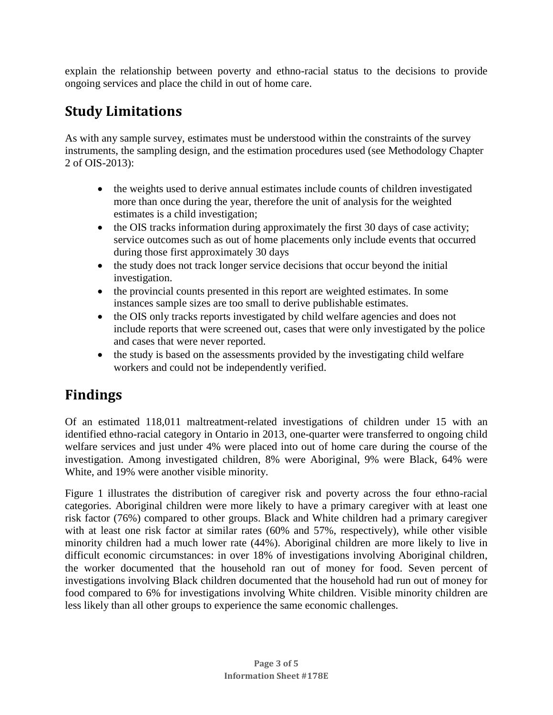explain the relationship between poverty and ethno-racial status to the decisions to provide ongoing services and place the child in out of home care.

## **Study Limitations**

As with any sample survey, estimates must be understood within the constraints of the survey instruments, the sampling design, and the estimation procedures used (see Methodology Chapter 2 of OIS-2013):

- the weights used to derive annual estimates include counts of children investigated more than once during the year, therefore the unit of analysis for the weighted estimates is a child investigation;
- the OIS tracks information during approximately the first 30 days of case activity; service outcomes such as out of home placements only include events that occurred during those first approximately 30 days
- the study does not track longer service decisions that occur beyond the initial investigation.
- the provincial counts presented in this report are weighted estimates. In some instances sample sizes are too small to derive publishable estimates.
- the OIS only tracks reports investigated by child welfare agencies and does not include reports that were screened out, cases that were only investigated by the police and cases that were never reported.
- the study is based on the assessments provided by the investigating child welfare workers and could not be independently verified.

# **Findings**

Of an estimated 118,011 maltreatment-related investigations of children under 15 with an identified ethno-racial category in Ontario in 2013, one-quarter were transferred to ongoing child welfare services and just under 4% were placed into out of home care during the course of the investigation. Among investigated children, 8% were Aboriginal, 9% were Black, 64% were White, and 19% were another visible minority.

Figure 1 illustrates the distribution of caregiver risk and poverty across the four ethno-racial categories. Aboriginal children were more likely to have a primary caregiver with at least one risk factor (76%) compared to other groups. Black and White children had a primary caregiver with at least one risk factor at similar rates (60% and 57%, respectively), while other visible minority children had a much lower rate (44%). Aboriginal children are more likely to live in difficult economic circumstances: in over 18% of investigations involving Aboriginal children, the worker documented that the household ran out of money for food. Seven percent of investigations involving Black children documented that the household had run out of money for food compared to 6% for investigations involving White children. Visible minority children are less likely than all other groups to experience the same economic challenges.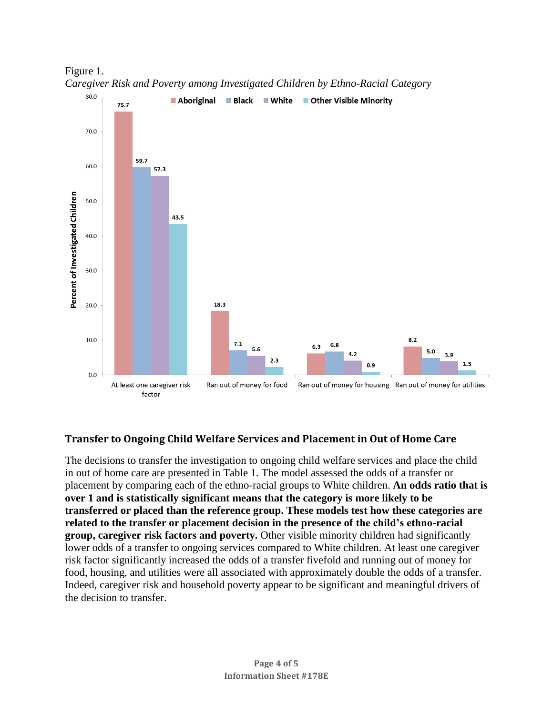

Figure 1. *Caregiver Risk and Poverty among Investigated Children by Ethno-Racial Category*

#### **Transfer to Ongoing Child Welfare Services and Placement in Out of Home Care**

The decisions to transfer the investigation to ongoing child welfare services and place the child in out of home care are presented in Table 1. The model assessed the odds of a transfer or placement by comparing each of the ethno-racial groups to White children. **An odds ratio that is over 1 and is statistically significant means that the category is more likely to be transferred or placed than the reference group. These models test how these categories are related to the transfer or placement decision in the presence of the child's ethno-racial group, caregiver risk factors and poverty.** Other visible minority children had significantly lower odds of a transfer to ongoing services compared to White children. At least one caregiver risk factor significantly increased the odds of a transfer fivefold and running out of money for food, housing, and utilities were all associated with approximately double the odds of a transfer. Indeed, caregiver risk and household poverty appear to be significant and meaningful drivers of the decision to transfer.